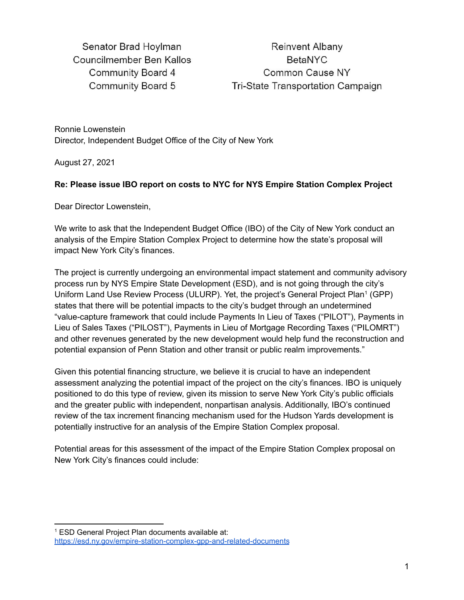Senator Brad Hoylman Councilmember Ben Kallos **Community Board 4 Community Board 5** 

Reinvent Albany **BetaNYC** Common Cause NY Tri-State Transportation Campaign

Ronnie Lowenstein Director, Independent Budget Office of the City of New York

August 27, 2021

## **Re: Please issue IBO report on costs to NYC for NYS Empire Station Complex Project**

Dear Director Lowenstein,

We write to ask that the Independent Budget Office (IBO) of the City of New York conduct an analysis of the Empire Station Complex Project to determine how the state's proposal will impact New York City's finances.

The project is currently undergoing an environmental impact statement and community advisory process run by NYS Empire State Development (ESD), and is not going through the city's Uniform Land Use Review Process (ULURP). Yet, the project's General Project Plan<sup>1</sup> (GPP) states that there will be potential impacts to the city's budget through an undetermined "value-capture framework that could include Payments In Lieu of Taxes ("PILOT"), Payments in Lieu of Sales Taxes ("PILOST"), Payments in Lieu of Mortgage Recording Taxes ("PILOMRT") and other revenues generated by the new development would help fund the reconstruction and potential expansion of Penn Station and other transit or public realm improvements."

Given this potential financing structure, we believe it is crucial to have an independent assessment analyzing the potential impact of the project on the city's finances. IBO is uniquely positioned to do this type of review, given its mission to serve New York City's public officials and the greater public with independent, nonpartisan analysis. Additionally, IBO's continued review of the tax increment financing mechanism used for the Hudson Yards development is potentially instructive for an analysis of the Empire Station Complex proposal.

Potential areas for this assessment of the impact of the Empire Station Complex proposal on New York City's finances could include:

<sup>&</sup>lt;sup>1</sup> ESD General Project Plan documents available at: <https://esd.ny.gov/empire-station-complex-gpp-and-related-documents>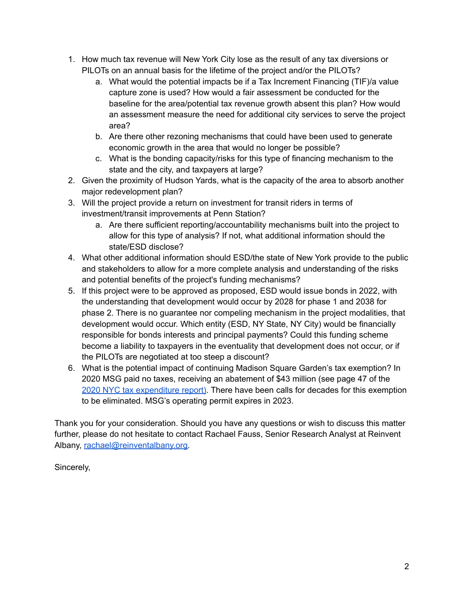- 1. How much tax revenue will New York City lose as the result of any tax diversions or PILOTs on an annual basis for the lifetime of the project and/or the PILOTs?
	- a. What would the potential impacts be if a Tax Increment Financing (TIF)/a value capture zone is used? How would a fair assessment be conducted for the baseline for the area/potential tax revenue growth absent this plan? How would an assessment measure the need for additional city services to serve the project area?
	- b. Are there other rezoning mechanisms that could have been used to generate economic growth in the area that would no longer be possible?
	- c. What is the bonding capacity/risks for this type of financing mechanism to the state and the city, and taxpayers at large?
- 2. Given the proximity of Hudson Yards, what is the capacity of the area to absorb another major redevelopment plan?
- 3. Will the project provide a return on investment for transit riders in terms of investment/transit improvements at Penn Station?
	- a. Are there sufficient reporting/accountability mechanisms built into the project to allow for this type of analysis? If not, what additional information should the state/ESD disclose?
- 4. What other additional information should ESD/the state of New York provide to the public and stakeholders to allow for a more complete analysis and understanding of the risks and potential benefits of the project's funding mechanisms?
- 5. If this project were to be approved as proposed, ESD would issue bonds in 2022, with the understanding that development would occur by 2028 for phase 1 and 2038 for phase 2. There is no guarantee nor compeling mechanism in the project modalities, that development would occur. Which entity (ESD, NY State, NY City) would be financially responsible for bonds interests and principal payments? Could this funding scheme become a liability to taxpayers in the eventuality that development does not occur, or if the PILOTs are negotiated at too steep a discount?
- 6. What is the potential impact of continuing Madison Square Garden's tax exemption? In 2020 MSG paid no taxes, receiving an abatement of \$43 million (see page 47 of the 2020 NYC tax [expenditure](https://www1.nyc.gov/assets/finance/downloads/pdf/reports/reports-tax-expenditure/ter_2020_final.pdf) report). There have been calls for decades for this exemption to be eliminated. MSG's operating permit expires in 2023.

Thank you for your consideration. Should you have any questions or wish to discuss this matter further, please do not hesitate to contact Rachael Fauss, Senior Research Analyst at Reinvent Albany, [rachael@reinventalbany.org.](mailto:rachael@reinventalbany.org)

Sincerely,